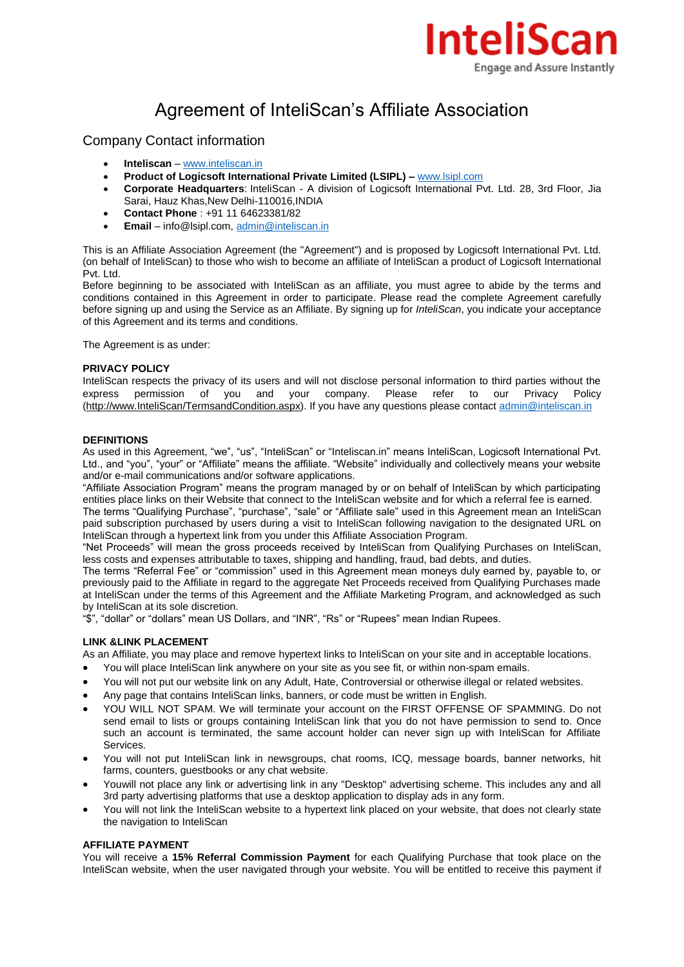

# Agreement of InteliScan's Affiliate Association

# Company Contact information

- **Inteliscan** [www.inteliscan.in](http://www.inteliscan.in/)
- **Product of Logicsoft International Private Limited (LSIPL) –** [www.lsipl.com](http://www.lsipl.com/)
- **Corporate Headquarters**: InteliScan A division of Logicsoft International Pvt. Ltd. 28, 3rd Floor, Jia Sarai, Hauz Khas,New Delhi-110016,INDIA
- **Contact Phone** : +91 11 64623381/82
- **Email** info@lsipl.com[, admin@inteliscan.in](mailto:admin@inteliscan.in)

This is an Affiliate Association Agreement (the "Agreement") and is proposed by Logicsoft International Pvt. Ltd. (on behalf of InteliScan) to those who wish to become an affiliate of InteliScan a product of Logicsoft International Pvt. Ltd.

Before beginning to be associated with InteliScan as an affiliate, you must agree to abide by the terms and conditions contained in this Agreement in order to participate. Please read the complete Agreement carefully before signing up and using the Service as an Affiliate. By signing up for *InteliScan*, you indicate your acceptance of this Agreement and its terms and conditions.

The Agreement is as under:

# **PRIVACY POLICY**

InteliScan respects the privacy of its users and will not disclose personal information to third parties without the express permission of you and your company. Please refer to our Privacy Policy [\(http://www.InteliScan/TermsandCondition.aspx\)](http://www.inteliscan.in/TermsandCondition.aspx). If you have any questions please contac[t admin@inteliscan.in](mailto:admin@inteliscan.in)

# **DEFINITIONS**

As used in this Agreement, "we", "us", "InteliScan" or "Inteliscan.in" means InteliScan, Logicsoft International Pvt. Ltd., and "you", "your" or "Affiliate" means the affiliate. "Website" individually and collectively means your website and/or e-mail communications and/or software applications.

"Affiliate Association Program" means the program managed by or on behalf of InteliScan by which participating entities place links on their Website that connect to the InteliScan website and for which a referral fee is earned. The terms "Qualifying Purchase", "purchase", "sale" or "Affiliate sale" used in this Agreement mean an InteliScan paid subscription purchased by users during a visit to InteliScan following navigation to the designated URL on InteliScan through a hypertext link from you under this Affiliate Association Program.

"Net Proceeds" will mean the gross proceeds received by InteliScan from Qualifying Purchases on InteliScan, less costs and expenses attributable to taxes, shipping and handling, fraud, bad debts, and duties.

The terms "Referral Fee" or "commission" used in this Agreement mean moneys duly earned by, payable to, or previously paid to the Affiliate in regard to the aggregate Net Proceeds received from Qualifying Purchases made at InteliScan under the terms of this Agreement and the Affiliate Marketing Program, and acknowledged as such by InteliScan at its sole discretion.

"\$", "dollar" or "dollars" mean US Dollars, and "INR", "Rs" or "Rupees" mean Indian Rupees.

# **LINK &LINK PLACEMENT**

As an Affiliate, you may place and remove hypertext links to InteliScan on your site and in acceptable locations.

- You will place InteliScan link anywhere on your site as you see fit, or within non-spam emails.
- You will not put our website link on any Adult, Hate, Controversial or otherwise illegal or related websites.
- Any page that contains InteliScan links, banners, or code must be written in English.
- YOU WILL NOT SPAM. We will terminate your account on the FIRST OFFENSE OF SPAMMING. Do not send email to lists or groups containing InteliScan link that you do not have permission to send to. Once such an account is terminated, the same account holder can never sign up with InteliScan for Affiliate Services.
- You will not put InteliScan link in newsgroups, chat rooms, ICQ, message boards, banner networks, hit farms, counters, guestbooks or any chat website.
- Youwill not place any link or advertising link in any "Desktop" advertising scheme. This includes any and all 3rd party advertising platforms that use a desktop application to display ads in any form.
- You will not link the InteliScan website to a hypertext link placed on your website, that does not clearly state the navigation to InteliScan

### **AFFILIATE PAYMENT**

You will receive a **15% Referral Commission Payment** for each Qualifying Purchase that took place on the InteliScan website, when the user navigated through your website. You will be entitled to receive this payment if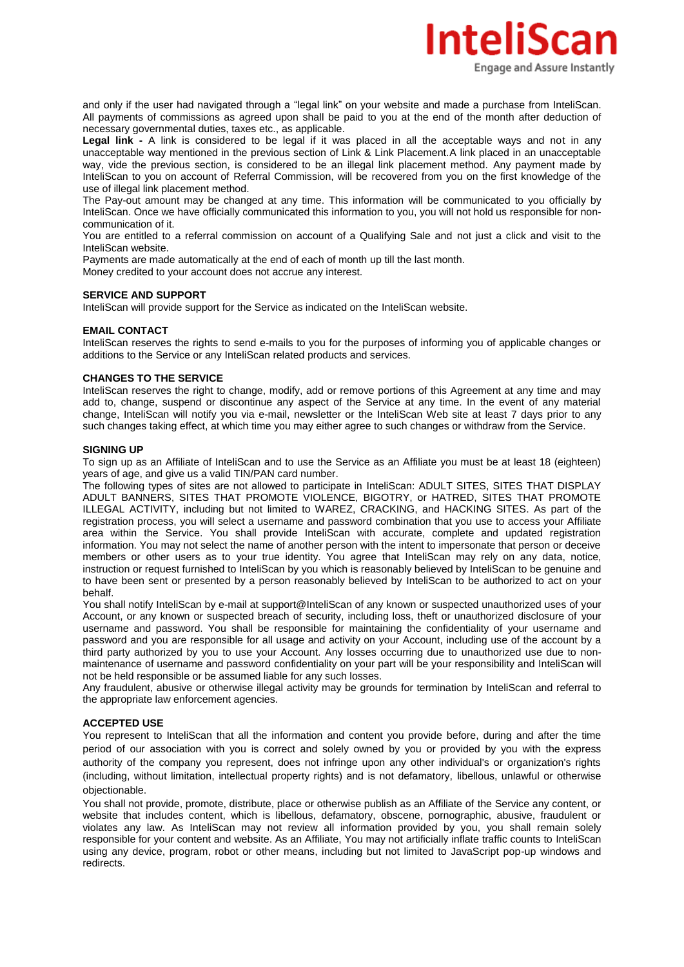

and only if the user had navigated through a "legal link" on your website and made a purchase from InteliScan. All payments of commissions as agreed upon shall be paid to you at the end of the month after deduction of necessary governmental duties, taxes etc., as applicable.

**Legal link -** A link is considered to be legal if it was placed in all the acceptable ways and not in any unacceptable way mentioned in the previous section of Link & Link Placement.A link placed in an unacceptable way, vide the previous section, is considered to be an illegal link placement method. Any payment made by InteliScan to you on account of Referral Commission, will be recovered from you on the first knowledge of the use of illegal link placement method.

The Pay-out amount may be changed at any time. This information will be communicated to you officially by InteliScan. Once we have officially communicated this information to you, you will not hold us responsible for noncommunication of it.

You are entitled to a referral commission on account of a Qualifying Sale and not just a click and visit to the InteliScan website.

Payments are made automatically at the end of each of month up till the last month. Money credited to your account does not accrue any interest.

### **SERVICE AND SUPPORT**

InteliScan will provide support for the Service as indicated on the InteliScan website.

#### **EMAIL CONTACT**

InteliScan reserves the rights to send e-mails to you for the purposes of informing you of applicable changes or additions to the Service or any InteliScan related products and services.

### **CHANGES TO THE SERVICE**

InteliScan reserves the right to change, modify, add or remove portions of this Agreement at any time and may add to, change, suspend or discontinue any aspect of the Service at any time. In the event of any material change, InteliScan will notify you via e-mail, newsletter or the InteliScan Web site at least 7 days prior to any such changes taking effect, at which time you may either agree to such changes or withdraw from the Service.

## **SIGNING UP**

To sign up as an Affiliate of InteliScan and to use the Service as an Affiliate you must be at least 18 (eighteen) years of age, and give us a valid TIN/PAN card number.

The following types of sites are not allowed to participate in InteliScan: ADULT SITES, SITES THAT DISPLAY ADULT BANNERS, SITES THAT PROMOTE VIOLENCE, BIGOTRY, or HATRED, SITES THAT PROMOTE ILLEGAL ACTIVITY, including but not limited to WAREZ, CRACKING, and HACKING SITES. As part of the registration process, you will select a username and password combination that you use to access your Affiliate area within the Service. You shall provide InteliScan with accurate, complete and updated registration information. You may not select the name of another person with the intent to impersonate that person or deceive members or other users as to your true identity. You agree that InteliScan may rely on any data, notice, instruction or request furnished to InteliScan by you which is reasonably believed by InteliScan to be genuine and to have been sent or presented by a person reasonably believed by InteliScan to be authorized to act on your behalf.

You shall notify InteliScan by e-mail at support@InteliScan of any known or suspected unauthorized uses of your Account, or any known or suspected breach of security, including loss, theft or unauthorized disclosure of your username and password. You shall be responsible for maintaining the confidentiality of your username and password and you are responsible for all usage and activity on your Account, including use of the account by a third party authorized by you to use your Account. Any losses occurring due to unauthorized use due to nonmaintenance of username and password confidentiality on your part will be your responsibility and InteliScan will not be held responsible or be assumed liable for any such losses.

Any fraudulent, abusive or otherwise illegal activity may be grounds for termination by InteliScan and referral to the appropriate law enforcement agencies.

# **ACCEPTED USE**

You represent to InteliScan that all the information and content you provide before, during and after the time period of our association with you is correct and solely owned by you or provided by you with the express authority of the company you represent, does not infringe upon any other individual's or organization's rights (including, without limitation, intellectual property rights) and is not defamatory, libellous, unlawful or otherwise objectionable.

You shall not provide, promote, distribute, place or otherwise publish as an Affiliate of the Service any content, or website that includes content, which is libellous, defamatory, obscene, pornographic, abusive, fraudulent or violates any law. As InteliScan may not review all information provided by you, you shall remain solely responsible for your content and website. As an Affiliate, You may not artificially inflate traffic counts to InteliScan using any device, program, robot or other means, including but not limited to JavaScript pop-up windows and redirects.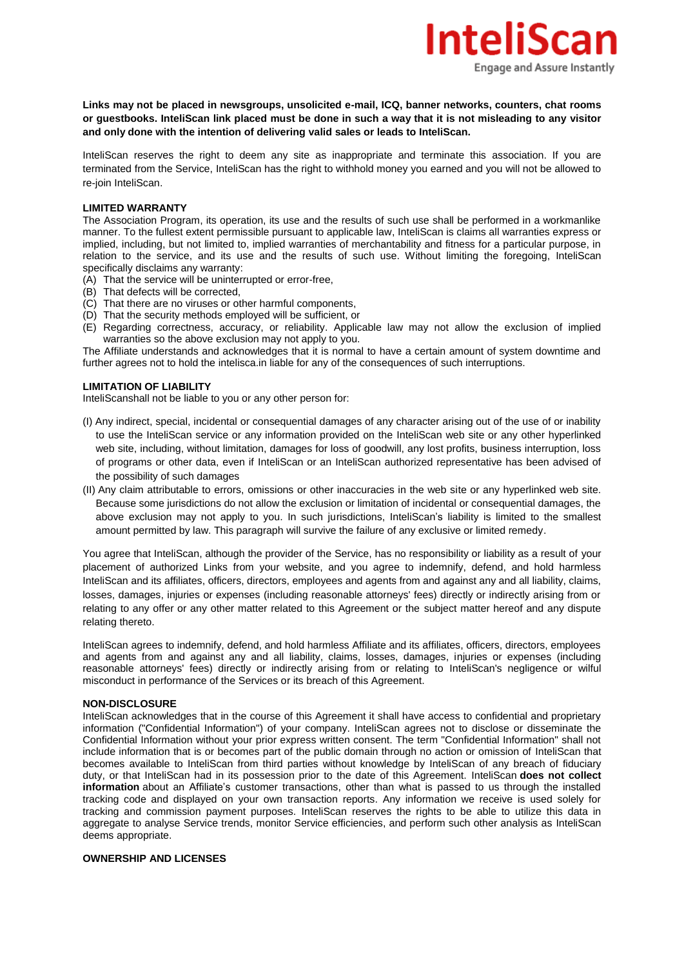

**Links may not be placed in newsgroups, unsolicited e-mail, ICQ, banner networks, counters, chat rooms or guestbooks. InteliScan link placed must be done in such a way that it is not misleading to any visitor and only done with the intention of delivering valid sales or leads to InteliScan.**

InteliScan reserves the right to deem any site as inappropriate and terminate this association. If you are terminated from the Service, InteliScan has the right to withhold money you earned and you will not be allowed to re-join InteliScan.

#### **LIMITED WARRANTY**

The Association Program, its operation, its use and the results of such use shall be performed in a workmanlike manner. To the fullest extent permissible pursuant to applicable law, InteliScan is claims all warranties express or implied, including, but not limited to, implied warranties of merchantability and fitness for a particular purpose, in relation to the service, and its use and the results of such use. Without limiting the foregoing, InteliScan specifically disclaims any warranty:

- (A) That the service will be uninterrupted or error-free,
- (B) That defects will be corrected,
- (C) That there are no viruses or other harmful components,
- (D) That the security methods employed will be sufficient, or
- (E) Regarding correctness, accuracy, or reliability. Applicable law may not allow the exclusion of implied warranties so the above exclusion may not apply to you.

The Affiliate understands and acknowledges that it is normal to have a certain amount of system downtime and further agrees not to hold the intelisca.in liable for any of the consequences of such interruptions.

#### **LIMITATION OF LIABILITY**

InteliScanshall not be liable to you or any other person for:

- (I) Any indirect, special, incidental or consequential damages of any character arising out of the use of or inability to use the InteliScan service or any information provided on the InteliScan web site or any other hyperlinked web site, including, without limitation, damages for loss of goodwill, any lost profits, business interruption, loss of programs or other data, even if InteliScan or an InteliScan authorized representative has been advised of the possibility of such damages
- (II) Any claim attributable to errors, omissions or other inaccuracies in the web site or any hyperlinked web site. Because some jurisdictions do not allow the exclusion or limitation of incidental or consequential damages, the above exclusion may not apply to you. In such jurisdictions, InteliScan's liability is limited to the smallest amount permitted by law. This paragraph will survive the failure of any exclusive or limited remedy.

You agree that InteliScan, although the provider of the Service, has no responsibility or liability as a result of your placement of authorized Links from your website, and you agree to indemnify, defend, and hold harmless InteliScan and its affiliates, officers, directors, employees and agents from and against any and all liability, claims, losses, damages, injuries or expenses (including reasonable attorneys' fees) directly or indirectly arising from or relating to any offer or any other matter related to this Agreement or the subject matter hereof and any dispute relating thereto.

InteliScan agrees to indemnify, defend, and hold harmless Affiliate and its affiliates, officers, directors, employees and agents from and against any and all liability, claims, losses, damages, injuries or expenses (including reasonable attorneys' fees) directly or indirectly arising from or relating to InteliScan's negligence or wilful misconduct in performance of the Services or its breach of this Agreement.

#### **NON-DISCLOSURE**

InteliScan acknowledges that in the course of this Agreement it shall have access to confidential and proprietary information ("Confidential Information") of your company. InteliScan agrees not to disclose or disseminate the Confidential Information without your prior express written consent. The term "Confidential Information" shall not include information that is or becomes part of the public domain through no action or omission of InteliScan that becomes available to InteliScan from third parties without knowledge by InteliScan of any breach of fiduciary duty, or that InteliScan had in its possession prior to the date of this Agreement. InteliScan **does not collect information** about an Affiliate's customer transactions, other than what is passed to us through the installed tracking code and displayed on your own transaction reports. Any information we receive is used solely for tracking and commission payment purposes. InteliScan reserves the rights to be able to utilize this data in aggregate to analyse Service trends, monitor Service efficiencies, and perform such other analysis as InteliScan deems appropriate.

### **OWNERSHIP AND LICENSES**